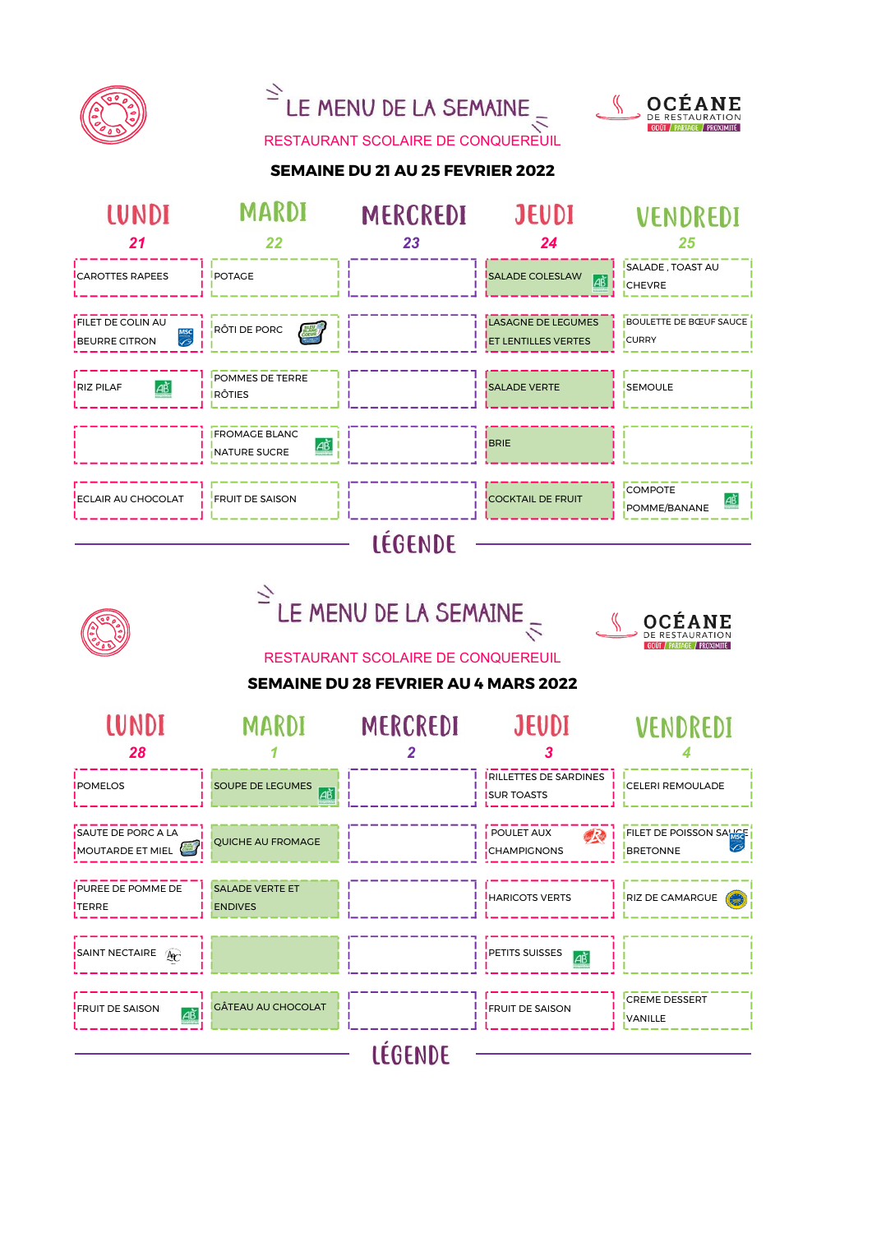





RESTAURANT SCOLAIRE DE CONQUEREUIL

# SEMAINE DU 21 AU 25 FEVRIER 2022

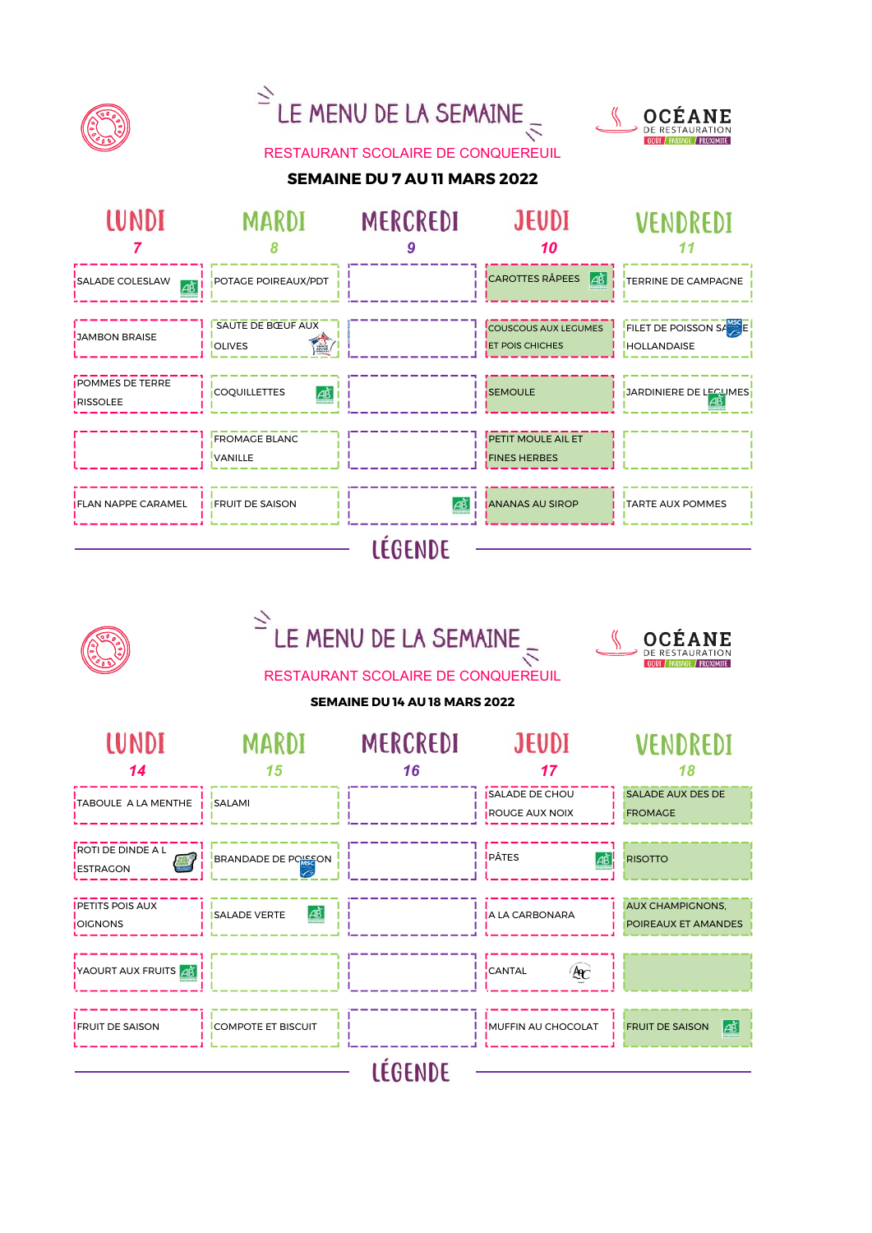



# RESTAURANT SCOLAIRE DE CONQUEREUIL

### SEMAINE DU 7 AU 11 MARS 2022



|                                            | LE MENU DE LA SEMAINE<br><b>OCEANE</b><br>/ PARTAGE / PROXIMITÉ<br>RESTAURANT SCOLAIRE DE CONQUEREUIL<br>SEMAINE DU 14 AU 18 MARS 2022 |                 |                                            |                                                 |  |
|--------------------------------------------|----------------------------------------------------------------------------------------------------------------------------------------|-----------------|--------------------------------------------|-------------------------------------------------|--|
| <b>LUNDI</b>                               | <b>MARDI</b>                                                                                                                           | <b>MERCREDI</b> | <b>JEUDI</b>                               | VENDREDI                                        |  |
| 14                                         | 15                                                                                                                                     | 16              | 17                                         | 18                                              |  |
| TABOULE A LA MENTHE <i>i</i> SALAMI        |                                                                                                                                        |                 | <b>I ISALADE DE CHOU</b><br>ROUGE AUX NOIX | <b>SALADE AUX DES DE</b><br><b>FROMAGE</b>      |  |
| ROTI DE DINDE A L<br><b>ESTRAGON</b>       | <b>BRANDADE DE PORSON</b>                                                                                                              |                 | <b>I</b> PÂTES                             | <b>RISOTTO</b>                                  |  |
| <b>IPETITS POIS AUX</b><br><b>JOIGNONS</b> | ΙΑŘ<br><b>I ISALADE VERTE</b>                                                                                                          |                 | 1 H<br><b>I IA LA CARBONARA</b>            | <b>AUX CHAMPIGNONS,</b><br>POIREAUX ET AMANDES  |  |
| YAOURT AUX FRUITS AB                       |                                                                                                                                        |                 | AC<br>CANTAL                               |                                                 |  |
| <b>IFRUIT DE SAISON</b>                    | <b>I ICOMPOTE ET BISCUIT</b>                                                                                                           |                 | <b>IMUFFIN AU CHOCOLAT</b>                 | $\overrightarrow{AB}$<br><b>FRUIT DE SAISON</b> |  |
|                                            |                                                                                                                                        | <b>LÉGENDE</b>  |                                            |                                                 |  |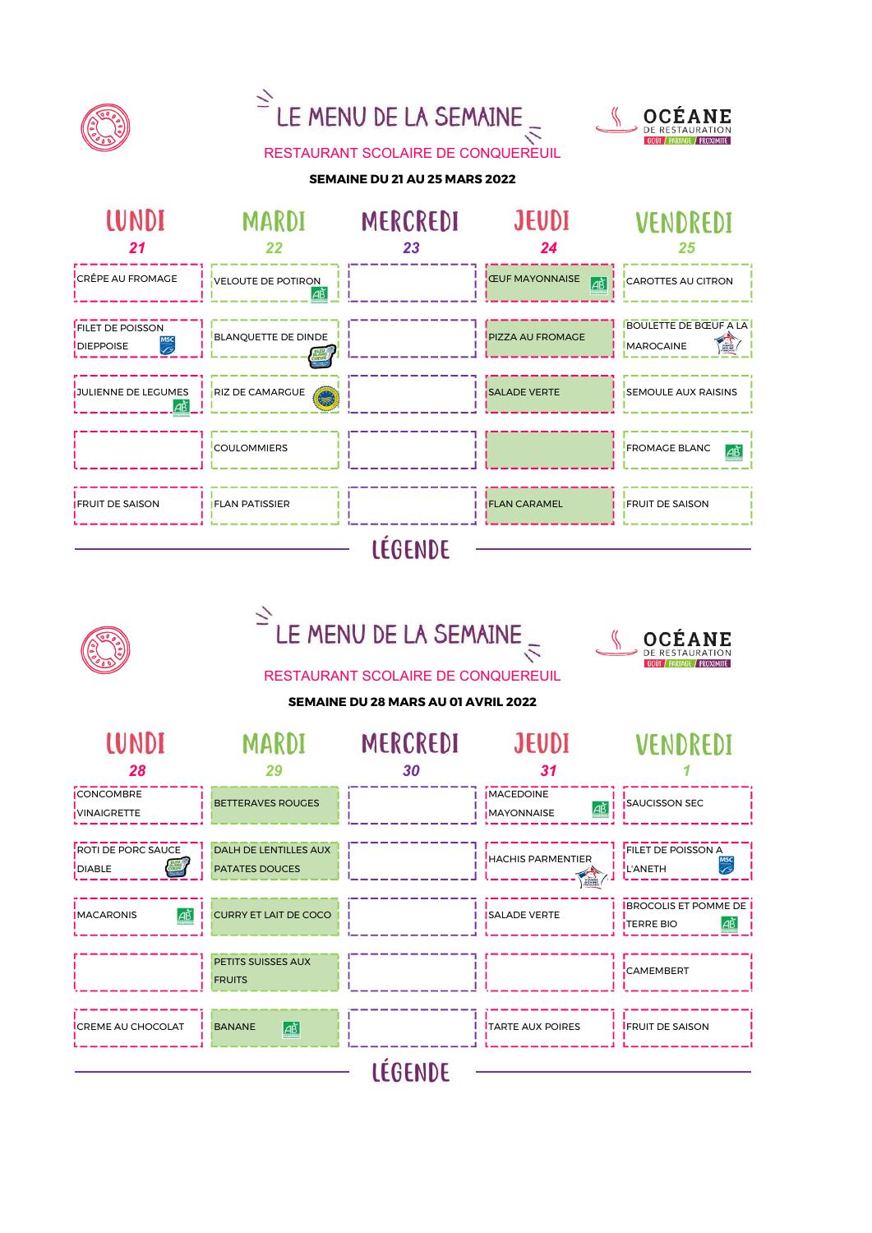

# $\overline{2}$ LE MENU DE LA SEMAINE



RESTAURANT SCOLAIRE DE CONQUEREUIL

#### SEMAINE DU 21 AU 25 MARS 2022